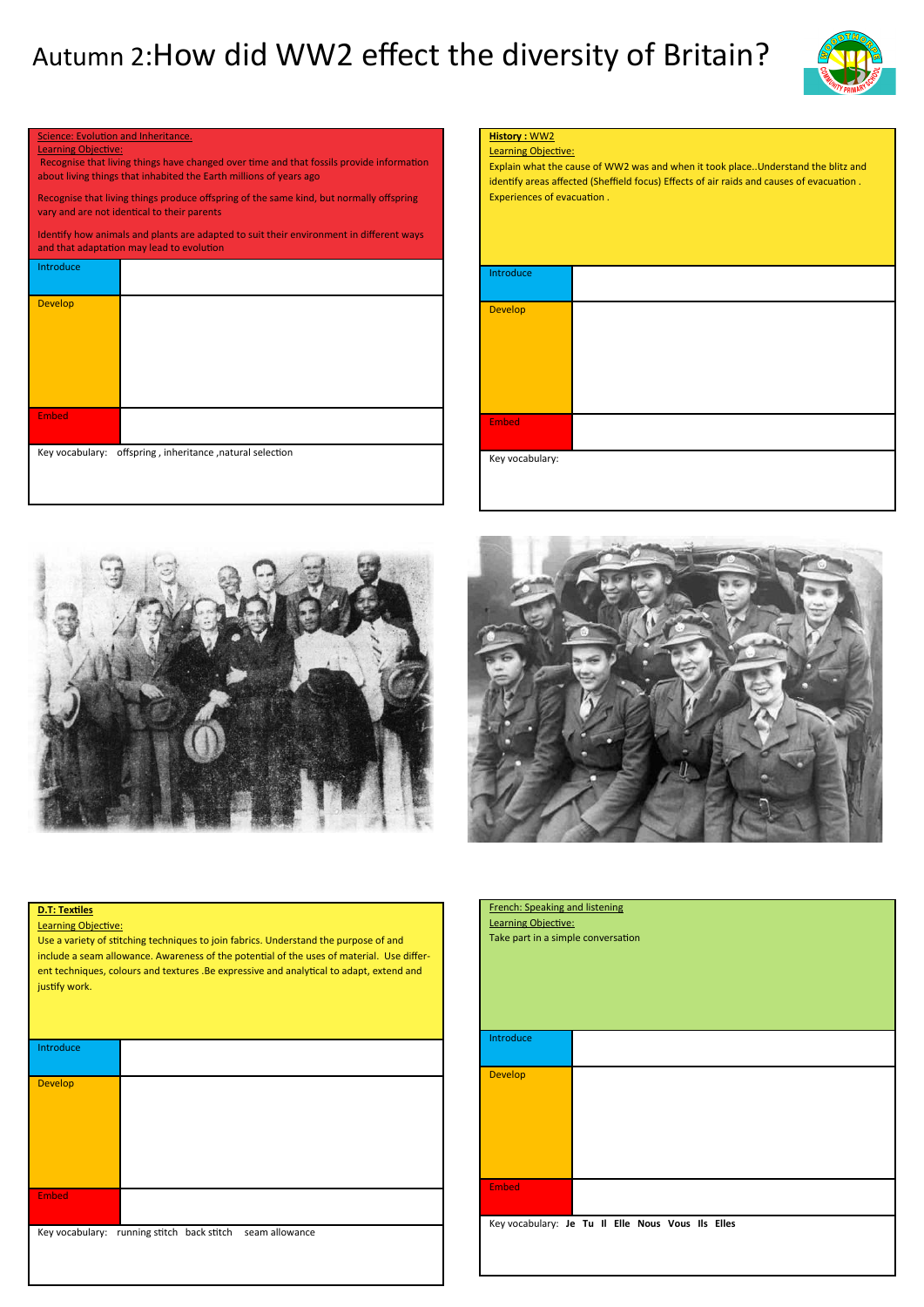## Autumn 2:How did WW2 effect the diversity of Britain?



| Science: Evolution and Inheritance.<br><b>Learning Objective:</b><br>Recognise that living things have changed over time and that fossils provide information<br>about living things that inhabited the Earth millions of years ago<br>Recognise that living things produce offspring of the same kind, but normally offspring<br>vary and are not identical to their parents |                                                                                                                                      |                 | <b>History: WW2</b><br><b>Learning Objective:</b><br>Explain what the cause of WW2 was and when it took p<br>identify areas affected (Sheffield focus) Effects of air ra<br>Experiences of evacuation. |  |  |
|-------------------------------------------------------------------------------------------------------------------------------------------------------------------------------------------------------------------------------------------------------------------------------------------------------------------------------------------------------------------------------|--------------------------------------------------------------------------------------------------------------------------------------|-----------------|--------------------------------------------------------------------------------------------------------------------------------------------------------------------------------------------------------|--|--|
|                                                                                                                                                                                                                                                                                                                                                                               | Identify how animals and plants are adapted to suit their environment in different ways<br>and that adaptation may lead to evolution |                 |                                                                                                                                                                                                        |  |  |
| Introduce                                                                                                                                                                                                                                                                                                                                                                     |                                                                                                                                      | Introduce       |                                                                                                                                                                                                        |  |  |
| <b>Develop</b>                                                                                                                                                                                                                                                                                                                                                                |                                                                                                                                      | <b>Develop</b>  |                                                                                                                                                                                                        |  |  |
| <b>Embed</b>                                                                                                                                                                                                                                                                                                                                                                  |                                                                                                                                      | Embed           |                                                                                                                                                                                                        |  |  |
| Key vocabulary:                                                                                                                                                                                                                                                                                                                                                               | offspring, inheritance, natural selection                                                                                            | Key vocabulary: |                                                                                                                                                                                                        |  |  |







## **D.T: Textiles**

Learning Objective:

Use a variety of stitching techniques to join fabrics. Understand the purpose of and include a seam allowance. Awareness of the potential of the uses of material. Use different techniques, colours and textures .Be expressive and analytical to adapt, extend and justify work.

| Introduce      |                                                           |  |
|----------------|-----------------------------------------------------------|--|
| <b>Develop</b> |                                                           |  |
|                |                                                           |  |
| <b>Embed</b>   |                                                           |  |
|                | Key vocabulary: running stitch back stitch seam allowance |  |

| <b>French: Speaking and listening</b><br>Learning Objective:<br>Take part in a simple conversation |  |  |  |  |  |
|----------------------------------------------------------------------------------------------------|--|--|--|--|--|
| Introduce                                                                                          |  |  |  |  |  |
| <b>Develop</b>                                                                                     |  |  |  |  |  |
| <b>Embed</b>                                                                                       |  |  |  |  |  |
| Key vocabulary: Je Tu Il Elle Nous Vous Ils Elles                                                  |  |  |  |  |  |